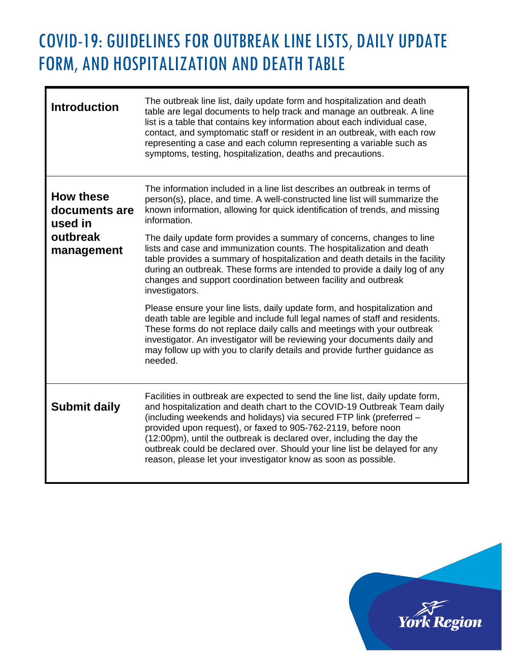## COVID-19: GUIDELINES FOR OUTBREAK LINE LISTS, DAILY UPDATE FORM, AND HOSPITALIZATION AND DEATH TABLE

| <b>Introduction</b>                                                    | The outbreak line list, daily update form and hospitalization and death<br>table are legal documents to help track and manage an outbreak. A line<br>list is a table that contains key information about each individual case,<br>contact, and symptomatic staff or resident in an outbreak, with each row<br>representing a case and each column representing a variable such as<br>symptoms, testing, hospitalization, deaths and precautions.                                                                         |
|------------------------------------------------------------------------|--------------------------------------------------------------------------------------------------------------------------------------------------------------------------------------------------------------------------------------------------------------------------------------------------------------------------------------------------------------------------------------------------------------------------------------------------------------------------------------------------------------------------|
| <b>How these</b><br>documents are<br>used in<br>outbreak<br>management | The information included in a line list describes an outbreak in terms of<br>person(s), place, and time. A well-constructed line list will summarize the<br>known information, allowing for quick identification of trends, and missing<br>information.                                                                                                                                                                                                                                                                  |
|                                                                        | The daily update form provides a summary of concerns, changes to line<br>lists and case and immunization counts. The hospitalization and death<br>table provides a summary of hospitalization and death details in the facility<br>during an outbreak. These forms are intended to provide a daily log of any<br>changes and support coordination between facility and outbreak<br>investigators.                                                                                                                        |
|                                                                        | Please ensure your line lists, daily update form, and hospitalization and<br>death table are legible and include full legal names of staff and residents.<br>These forms do not replace daily calls and meetings with your outbreak<br>investigator. An investigator will be reviewing your documents daily and<br>may follow up with you to clarify details and provide further guidance as<br>needed.                                                                                                                  |
| <b>Submit daily</b>                                                    | Facilities in outbreak are expected to send the line list, daily update form,<br>and hospitalization and death chart to the COVID-19 Outbreak Team daily<br>(including weekends and holidays) via secured FTP link (preferred -<br>provided upon request), or faxed to 905-762-2119, before noon<br>(12:00pm), until the outbreak is declared over, including the day the<br>outbreak could be declared over. Should your line list be delayed for any<br>reason, please let your investigator know as soon as possible. |

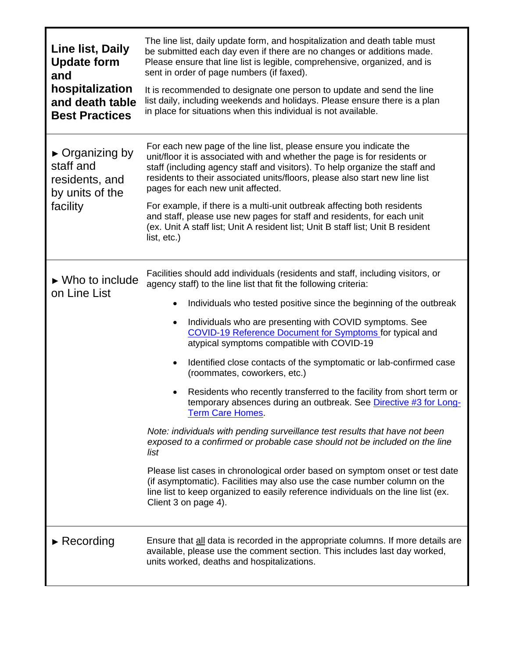| Line list, Daily<br><b>Update form</b><br>and<br>hospitalization<br>and death table<br><b>Best Practices</b> | The line list, daily update form, and hospitalization and death table must<br>be submitted each day even if there are no changes or additions made.<br>Please ensure that line list is legible, comprehensive, organized, and is<br>sent in order of page numbers (if faxed).<br>It is recommended to designate one person to update and send the line<br>list daily, including weekends and holidays. Please ensure there is a plan<br>in place for situations when this individual is not available.                                                                                                     |
|--------------------------------------------------------------------------------------------------------------|------------------------------------------------------------------------------------------------------------------------------------------------------------------------------------------------------------------------------------------------------------------------------------------------------------------------------------------------------------------------------------------------------------------------------------------------------------------------------------------------------------------------------------------------------------------------------------------------------------|
|                                                                                                              |                                                                                                                                                                                                                                                                                                                                                                                                                                                                                                                                                                                                            |
| $\triangleright$ Organizing by<br>staff and<br>residents, and<br>by units of the<br>facility                 | For each new page of the line list, please ensure you indicate the<br>unit/floor it is associated with and whether the page is for residents or<br>staff (including agency staff and visitors). To help organize the staff and<br>residents to their associated units/floors, please also start new line list<br>pages for each new unit affected.<br>For example, if there is a multi-unit outbreak affecting both residents<br>and staff, please use new pages for staff and residents, for each unit<br>(ex. Unit A staff list; Unit A resident list; Unit B staff list; Unit B resident<br>list, etc.) |
| $\triangleright$ Who to include<br>on Line List                                                              | Facilities should add individuals (residents and staff, including visitors, or                                                                                                                                                                                                                                                                                                                                                                                                                                                                                                                             |
|                                                                                                              | agency staff) to the line list that fit the following criteria:                                                                                                                                                                                                                                                                                                                                                                                                                                                                                                                                            |
|                                                                                                              | Individuals who tested positive since the beginning of the outbreak                                                                                                                                                                                                                                                                                                                                                                                                                                                                                                                                        |
|                                                                                                              | Individuals who are presenting with COVID symptoms. See<br>٠<br><b>COVID-19 Reference Document for Symptoms for typical and</b><br>atypical symptoms compatible with COVID-19                                                                                                                                                                                                                                                                                                                                                                                                                              |
|                                                                                                              | Identified close contacts of the symptomatic or lab-confirmed case<br>$\bullet$<br>(roommates, coworkers, etc.)                                                                                                                                                                                                                                                                                                                                                                                                                                                                                            |
|                                                                                                              | Residents who recently transferred to the facility from short term or<br>temporary absences during an outbreak. See Directive #3 for Long-<br><b>Term Care Homes.</b>                                                                                                                                                                                                                                                                                                                                                                                                                                      |
|                                                                                                              | Note: individuals with pending surveillance test results that have not been<br>exposed to a confirmed or probable case should not be included on the line<br>list                                                                                                                                                                                                                                                                                                                                                                                                                                          |
|                                                                                                              | Please list cases in chronological order based on symptom onset or test date<br>(if asymptomatic). Facilities may also use the case number column on the<br>line list to keep organized to easily reference individuals on the line list (ex.<br>Client 3 on page 4).                                                                                                                                                                                                                                                                                                                                      |
| $\triangleright$ Recording                                                                                   | Ensure that all data is recorded in the appropriate columns. If more details are<br>available, please use the comment section. This includes last day worked,<br>units worked, deaths and hospitalizations.                                                                                                                                                                                                                                                                                                                                                                                                |